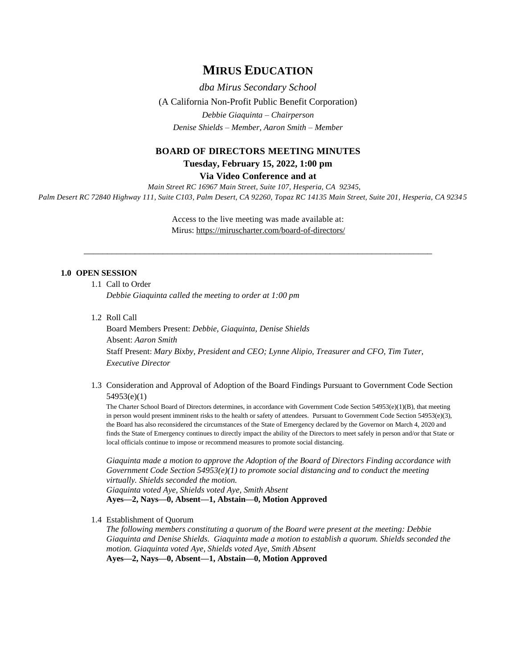# **MIRUS EDUCATION**

*dba Mirus Secondary School* (A California Non-Profit Public Benefit Corporation) *Debbie Giaquinta – Chairperson Denise Shields – Member, Aaron Smith – Member*

# **BOARD OF DIRECTORS MEETING MINUTES**

**Tuesday, February 15, 2022, 1:00 pm**

**Via Video Conference and at**

*Main Street RC 16967 Main Street, Suite 107, Hesperia, CA 92345, Palm Desert RC 72840 Highway 111, Suite C103, Palm Desert, CA 92260, Topaz RC 14135 Main Street, Suite 201, Hesperia, CA 9234 5*

> Access to the live meeting was made available at: Mirus:<https://miruscharter.com/board-of-directors/>

\_\_\_\_\_\_\_\_\_\_\_\_\_\_\_\_\_\_\_\_\_\_\_\_\_\_\_\_\_\_\_\_\_\_\_\_\_\_\_\_\_\_\_\_\_\_\_\_\_\_\_\_\_\_\_\_\_\_\_\_\_\_\_\_\_\_\_\_\_\_\_\_\_\_\_

## **1.0 OPEN SESSION**

1.1 Call to Order

*Debbie Giaquinta called the meeting to order at 1:00 pm*

1.2 Roll Call

Board Members Present: *Debbie, Giaquinta, Denise Shields* Absent: *Aaron Smith* Staff Present: *Mary Bixby, President and CEO; Lynne Alipio, Treasurer and CFO, Tim Tuter, Executive Director*

1.3 Consideration and Approval of Adoption of the Board Findings Pursuant to Government Code Section 54953(e)(1)

The Charter School Board of Directors determines, in accordance with Government Code Section 54953(e)(1)(B), that meeting in person would present imminent risks to the health or safety of attendees. Pursuant to Government Code Section 54953(e)(3), the Board has also reconsidered the circumstances of the State of Emergency declared by the Governor on March 4, 2020 and finds the State of Emergency continues to directly impact the ability of the Directors to meet safely in person and/or that State or local officials continue to impose or recommend measures to promote social distancing.

*Giaquinta made a motion to approve the Adoption of the Board of Directors Finding accordance with Government Code Section 54953(e)(1) to promote social distancing and to conduct the meeting virtually. Shields seconded the motion. Giaquinta voted Aye, Shields voted Aye, Smith Absent*

**Ayes—2, Nays—0, Absent—1, Abstain—0, Motion Approved**

1.4 Establishment of Quorum

*The following members constituting a quorum of the Board were present at the meeting: Debbie Giaquinta and Denise Shields. Giaquinta made a motion to establish a quorum. Shields seconded the motion. Giaquinta voted Aye, Shields voted Aye, Smith Absent* **Ayes—2, Nays—0, Absent—1, Abstain—0, Motion Approved**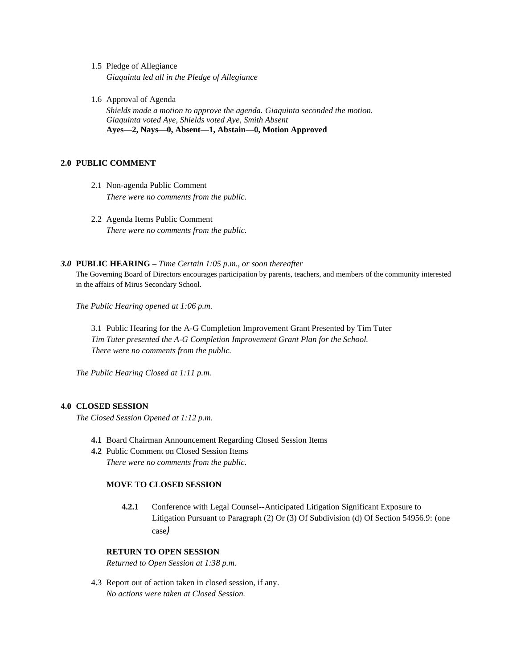- 1.5 Pledge of Allegiance *Giaquinta led all in the Pledge of Allegiance*
- 1.6 Approval of Agenda *Shields made a motion to approve the agenda. Giaquinta seconded the motion. Giaquinta voted Aye, Shields voted Aye, Smith Absent* **Ayes—2, Nays—0, Absent—1, Abstain—0, Motion Approved**

## **2.0 PUBLIC COMMENT**

- 2.1 Non-agenda Public Comment *There were no comments from the public.*
- 2.2 Agenda Items Public Comment *There were no comments from the public.*

#### *3.0* **PUBLIC HEARING –** *Time Certain 1:05 p.m., or soon thereafter*

The Governing Board of Directors encourages participation by parents, teachers, and members of the community interested in the affairs of Mirus Secondary School.

*The Public Hearing opened at 1:06 p.m.*

3.1 Public Hearing for the A-G Completion Improvement Grant Presented by Tim Tuter *Tim Tuter presented the A-G Completion Improvement Grant Plan for the School. There were no comments from the public.*

*The Public Hearing Closed at 1:11 p.m.*

### **4.0 CLOSED SESSION**

*The Closed Session Opened at 1:12 p.m.*

- **4.1** Board Chairman Announcement Regarding Closed Session Items
- **4.2** Public Comment on Closed Session Items *There were no comments from the public.*

#### **MOVE TO CLOSED SESSION**

**4.2.1** Conference with Legal Counsel--Anticipated Litigation Significant Exposure to Litigation Pursuant to Paragraph (2) Or (3) Of Subdivision (d) Of Section 54956.9: (one case*)*

## **RETURN TO OPEN SESSION**

*Returned to Open Session at 1:38 p.m.*

4.3 Report out of action taken in closed session, if any. *No actions were taken at Closed Session.*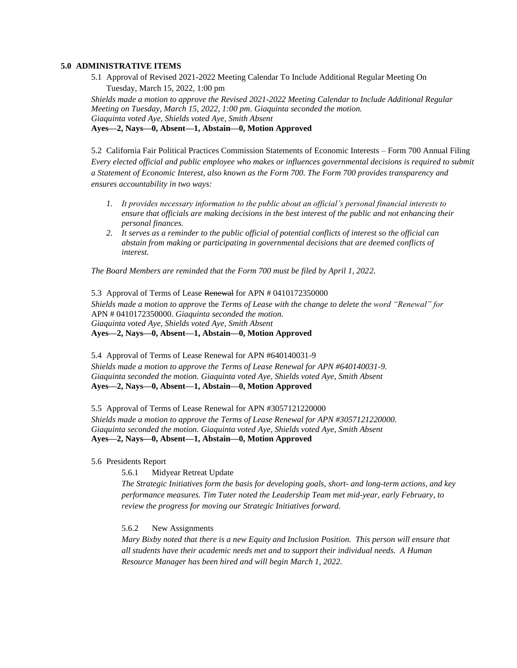## **5.0 ADMINISTRATIVE ITEMS**

5.1 Approval of Revised 2021-2022 Meeting Calendar To Include Additional Regular Meeting On Tuesday, March 15, 2022, 1:00 pm

*Shields made a motion to approve the Revised 2021-2022 Meeting Calendar to Include Additional Regular Meeting on Tuesday, March 15, 2022, 1:00 pm. Giaquinta seconded the motion. Giaquinta voted Aye, Shields voted Aye, Smith Absent* **Ayes—2, Nays—0, Absent—1, Abstain—0, Motion Approved**

5.2 California Fair Political Practices Commission Statements of Economic Interests – Form 700 Annual Filing *Every elected official and public employee who makes or influences governmental decisions is required to submit a Statement of Economic Interest, also known as the Form 700. The Form 700 provides transparency and ensures accountability in two ways:*

- *1. It provides necessary information to the public about an official's personal financial interests to ensure that officials are making decisions in the best interest of the public and not enhancing their personal finances.*
- *2. It serves as a reminder to the public official of potential conflicts of interest so the official can abstain from making or participating in governmental decisions that are deemed conflicts of interest.*

*The Board Members are reminded that the Form 700 must be filed by April 1, 2022.*

5.3 Approval of Terms of Lease Renewal for APN # 0410172350000 *Shields made a motion to approve* the *Terms of Lease with the change to delete the word "Renewal" for* APN # 0410172350000. *Giaquinta seconded the motion. Giaquinta voted Aye, Shields voted Aye, Smith Absent* **Ayes—2, Nays—0, Absent—1, Abstain—0, Motion Approved**

5.4 Approval of Terms of Lease Renewal for APN #640140031-9 *Shields made a motion to approve the Terms of Lease Renewal for APN #640140031-9. Giaquinta seconded the motion. Giaquinta voted Aye, Shields voted Aye, Smith Absent* **Ayes—2, Nays—0, Absent—1, Abstain—0, Motion Approved**

5.5 Approval of Terms of Lease Renewal for APN #3057121220000 *Shields made a motion to approve the Terms of Lease Renewal for APN #3057121220000. Giaquinta seconded the motion. Giaquinta voted Aye, Shields voted Aye, Smith Absent* **Ayes—2, Nays—0, Absent—1, Abstain—0, Motion Approved**

## 5.6 Presidents Report

5.6.1 Midyear Retreat Update

*The Strategic Initiatives form the basis for developing goals, short- and long-term actions, and key performance measures. Tim Tuter noted the Leadership Team met mid-year, early February, to review the progress for moving our Strategic Initiatives forward.*

5.6.2 New Assignments

*Mary Bixby noted that there is a new Equity and Inclusion Position. This person will ensure that all students have their academic needs met and to support their individual needs. A Human Resource Manager has been hired and will begin March 1, 2022.*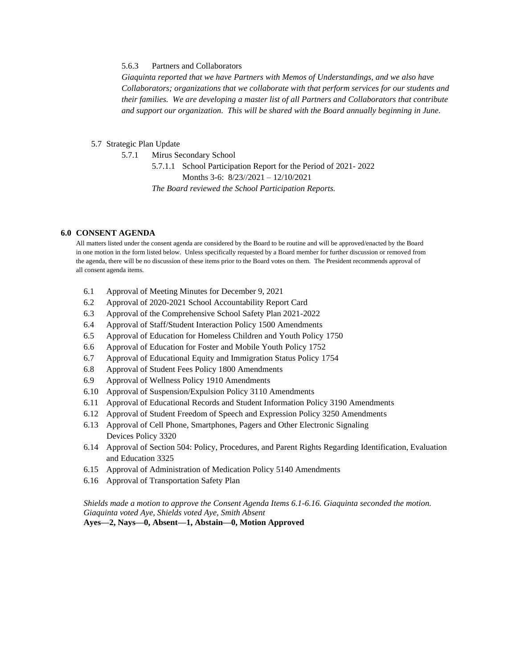## 5.6.3 Partners and Collaborators

*Giaquinta reported that we have Partners with Memos of Understandings, and we also have Collaborators; organizations that we collaborate with that perform services for our students and their families. We are developing a master list of all Partners and Collaborators that contribute and support our organization. This will be shared with the Board annually beginning in June.*

#### 5.7 Strategic Plan Update

5.7.1 Mirus Secondary School

5.7.1.1 School Participation Report for the Period of 2021- 2022 Months 3-6: 8/23//2021 – 12/10/2021 *The Board reviewed the School Participation Reports.*

#### **6.0 CONSENT AGENDA**

All matters listed under the consent agenda are considered by the Board to be routine and will be approved/enacted by the Board in one motion in the form listed below. Unless specifically requested by a Board member for further discussion or removed from the agenda, there will be no discussion of these items prior to the Board votes on them. The President recommends approval of all consent agenda items.

- 6.1 Approval of Meeting Minutes for December 9, 2021
- 6.2 Approval of 2020-2021 School Accountability Report Card
- 6.3 Approval of the Comprehensive School Safety Plan 2021-2022
- 6.4 Approval of Staff/Student Interaction Policy 1500 Amendments
- 6.5 Approval of Education for Homeless Children and Youth Policy 1750
- 6.6 Approval of Education for Foster and Mobile Youth Policy 1752
- 6.7 Approval of Educational Equity and Immigration Status Policy 1754
- 6.8 Approval of Student Fees Policy 1800 Amendments
- 6.9 Approval of Wellness Policy 1910 Amendments
- 6.10 Approval of Suspension/Expulsion Policy 3110 Amendments
- 6.11 Approval of Educational Records and Student Information Policy 3190 Amendments
- 6.12 Approval of Student Freedom of Speech and Expression Policy 3250 Amendments
- 6.13 Approval of Cell Phone, Smartphones, Pagers and Other Electronic Signaling Devices Policy 3320
- 6.14 Approval of Section 504: Policy, Procedures, and Parent Rights Regarding Identification, Evaluation and Education 3325
- 6.15 Approval of Administration of Medication Policy 5140 Amendments
- 6.16 Approval of Transportation Safety Plan

*Shields made a motion to approve the Consent Agenda Items 6.1-6.16. Giaquinta seconded the motion. Giaquinta voted Aye, Shields voted Aye, Smith Absent* **Ayes—2, Nays—0, Absent—1, Abstain—0, Motion Approved**